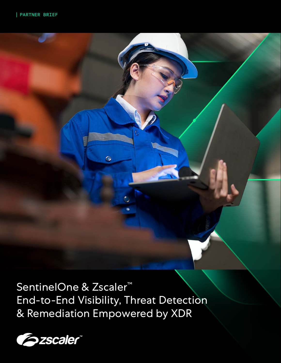SentinelOne & Zscaler<sup>™</sup> End-to-End Visibility, Threat Detection & Remediation Empowered by XDR

 $\ddot{\circ}$ 

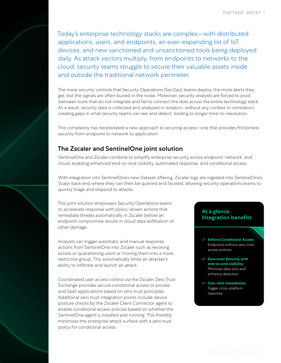Today's enterprise technology stacks are complex—with distributed applications, users, and endpoints, an ever-expanding list of IoT devices, and new sanctioned and unsanctioned tools being deployed daily. As attack vectors multiply, from endpoints to networks to the cloud, security teams struggle to secure their valuable assets inside and outside the traditional network perimeter.

The more security controls that Security Operations (SecOps) teams deploy, the more alerts they get, but the signals are often buried in the noise. Moreover, security analysts are forced to pivot between tools that do not integrate and fail to connect the dots across the entire technology stack. As a result, security data is collected and analyzed in isolation, without any context or correlation, creating gaps in what security teams can see and detect, leading to longer time-to-resolution.

This complexity has necessitated a new approach to securing access—one that provides frictionless security from endpoint to network to application.

## The Zscaler and SentinelOne joint solution

SentinelOne and Zscaler combine to simplify enterprise security across endpoint, network, and cloud, enabling enhanced end-to-end visibility, automated response, and conditional access.

With integration into SentinelOne's new Dataset offering, Zscaler logs are ingested into SentinelOne's Scalyr back end where they can then be queried and faceted, allowing security operations teams to quickly triage and respond to attacks.

This joint solution empowers Security Operations teams to accelerate response with policy-driven actions that remediate threats automatically in Zscaler before an endpoint compromise results in cloud data exfiltration or other damage.

Analysts can trigger automatic and manual response actions from SentinelOne into Zscaler such as revoking access or quarantining users or moving them into a more restrictive group. This automatically limits an attacker's ability to infiltrate and launch an attack.

Coordinated user access control via the Zscaler Zero Trust Exchange provides secure conditional access to private and SaaS applications based on zero trust principles. Additional zero trust integration points include device posture checks by the Zscaler Client Connector agent to enable conditional access policies based on whether the SentinelOne agent is installed and running. This thereby minimizes the enterprise attack surface with a zero trust policy for conditional access.

### At a glance: Integration benefits

- check **Enforce Conditional Access** Endpoints enforce zero trust access policies
- $\checkmark$  Zero trust Security with **end-to-end visibility** Minimize data silos and enhance detection
- **∠** One-click remediation Trigger cross-platform response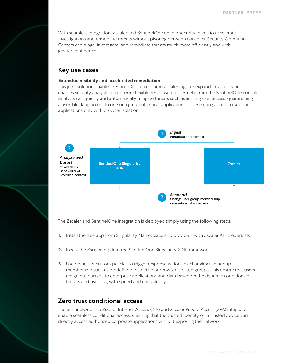With seamless integration, Zscaler and SentinelOne enable security teams to accelerate investigations and remediate threats without pivoting between consoles. Security Operation Centers can triage, investigate, and remediate threats much more efficiently and with greater confidence.

## Key use cases

#### **Extended visibility and accelerated remediation**

This joint solution enables SentinelOne to consume Zscaler logs for expanded visibility and enables security analysts to configure flexible response policies right from the SentinelOne console. Analysts can quickly and automatically mitigate threats such as limiting user access, quarantining a user, blocking access to one or a group of critical applications, or restricting access to specific applications only with browser isolation.



The Zscaler and SentinelOne integration is deployed simply using the following steps:

- 1. Install the free app from Singularity Marketplace and provide it with Zscaler API credentials.
- 2. Ingest the Zscaler logs into the SentinelOne Singularity XDR framework.
- **3.** Use default or custom policies to trigger response actions by changing user group membership such as predefined restrictive or browser isolated groups. This ensure that users are granted access to enterprise applications and data based on the dynamic conditions of threats and user risk, with speed and consistency.

### Zero trust conditional access

The SentinelOne and Zscaler Internet Access (ZIA) and Zscaler Private Access (ZPA) integration enable seamless conditional access, ensuring that the trusted identity on a trusted device can directly access authorized corporate applications without exposing the network.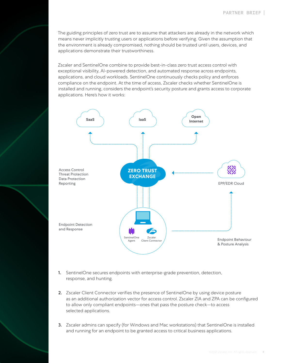The guiding principles of zero trust are to assume that attackers are already in the network which means never implicitly trusting users or applications before verifying. Given the assumption that the environment is already compromised, nothing should be trusted until users, devices, and applications demonstrate their trustworthiness.

Zscaler and SentinelOne combine to provide best-in-class zero trust access control with exceptional visibility, AI-powered detection, and automated response across endpoints, applications, and cloud workloads. SentinelOne continuously checks policy and enforces compliance on the endpoint. At the time of access, Zscaler checks whether SentinelOne is installed and running, considers the endpoint's security posture and grants access to corporate applications. Here's how it works:



- 1. SentinelOne secures endpoints with enterprise-grade prevention, detection, response, and hunting.
- 2. Zscaler Client Connector verifies the presence of SentinelOne by using device posture as an additional authorization vector for access control. Zscaler ZIA and ZPA can be configured to allow only compliant endpoints—ones that pass the posture check—to access selected applications.
- 3. Zscaler admins can specify (for Windows and Mac workstations) that SentinelOne is installed and running for an endpoint to be granted access to critical business applications.